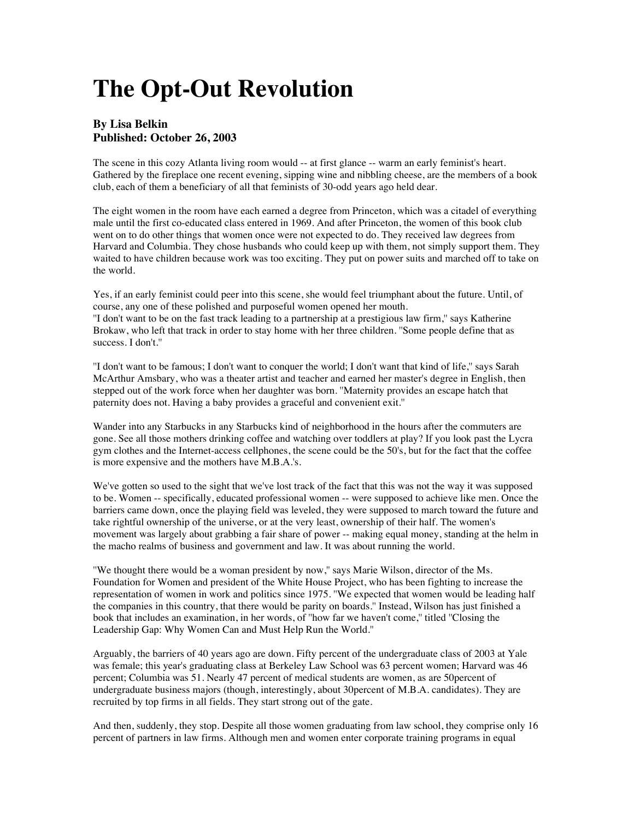## **The Opt-Out Revolution**

## **By Lisa Belkin Published: October 26, 2003**

The scene in this cozy Atlanta living room would -- at first glance -- warm an early feminist's heart. Gathered by the fireplace one recent evening, sipping wine and nibbling cheese, are the members of a book club, each of them a beneficiary of all that feminists of 30-odd years ago held dear.

The eight women in the room have each earned a degree from Princeton, which was a citadel of everything male until the first co-educated class entered in 1969. And after Princeton, the women of this book club went on to do other things that women once were not expected to do. They received law degrees from Harvard and Columbia. They chose husbands who could keep up with them, not simply support them. They waited to have children because work was too exciting. They put on power suits and marched off to take on the world.

Yes, if an early feminist could peer into this scene, she would feel triumphant about the future. Until, of course, any one of these polished and purposeful women opened her mouth. ''I don't want to be on the fast track leading to a partnership at a prestigious law firm,'' says Katherine

Brokaw, who left that track in order to stay home with her three children. ''Some people define that as success. I don't.''

''I don't want to be famous; I don't want to conquer the world; I don't want that kind of life,'' says Sarah McArthur Amsbary, who was a theater artist and teacher and earned her master's degree in English, then stepped out of the work force when her daughter was born. ''Maternity provides an escape hatch that paternity does not. Having a baby provides a graceful and convenient exit.''

Wander into any Starbucks in any Starbucks kind of neighborhood in the hours after the commuters are gone. See all those mothers drinking coffee and watching over toddlers at play? If you look past the Lycra gym clothes and the Internet-access cellphones, the scene could be the 50's, but for the fact that the coffee is more expensive and the mothers have M.B.A.'s.

We've gotten so used to the sight that we've lost track of the fact that this was not the way it was supposed to be. Women -- specifically, educated professional women -- were supposed to achieve like men. Once the barriers came down, once the playing field was leveled, they were supposed to march toward the future and take rightful ownership of the universe, or at the very least, ownership of their half. The women's movement was largely about grabbing a fair share of power -- making equal money, standing at the helm in the macho realms of business and government and law. It was about running the world.

''We thought there would be a woman president by now,'' says Marie Wilson, director of the Ms. Foundation for Women and president of the White House Project, who has been fighting to increase the representation of women in work and politics since 1975. ''We expected that women would be leading half the companies in this country, that there would be parity on boards.'' Instead, Wilson has just finished a book that includes an examination, in her words, of ''how far we haven't come,'' titled ''Closing the Leadership Gap: Why Women Can and Must Help Run the World.''

Arguably, the barriers of 40 years ago are down. Fifty percent of the undergraduate class of 2003 at Yale was female; this year's graduating class at Berkeley Law School was 63 percent women; Harvard was 46 percent; Columbia was 51. Nearly 47 percent of medical students are women, as are 50percent of undergraduate business majors (though, interestingly, about 30percent of M.B.A. candidates). They are recruited by top firms in all fields. They start strong out of the gate.

And then, suddenly, they stop. Despite all those women graduating from law school, they comprise only 16 percent of partners in law firms. Although men and women enter corporate training programs in equal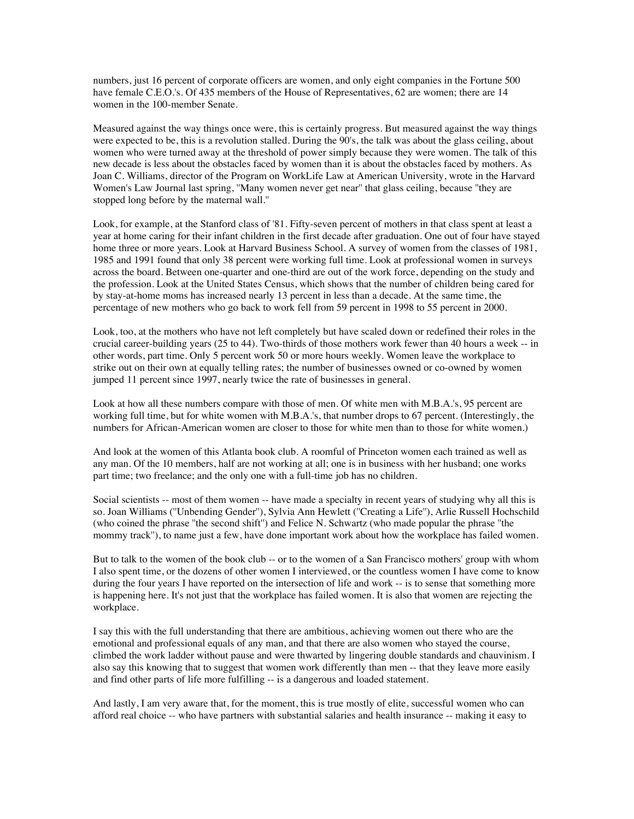numbers, just 16 percent of corporate officers are women, and only eight companies in the Fortune 500 have female C.E.O.'s. Of 435 members of the House of Representatives, 62 are women; there are 14 women in the 100-member Senate.

Measured against the way things once were, this is certainly progress. But measured against the way things were expected to be, this is a revolution stalled. During the 90's, the talk was about the glass ceiling, about women who were turned away at the threshold of power simply because they were women. The talk of this new decade is less about the obstacles faced by women than it is about the obstacles faced by mothers. As Joan C. Williams, director of the Program on WorkLife Law at American University, wrote in the Harvard Women's Law Journal last spring, ''Many women never get near'' that glass ceiling, because ''they are stopped long before by the maternal wall.''

Look, for example, at the Stanford class of '81. Fifty-seven percent of mothers in that class spent at least a year at home caring for their infant children in the first decade after graduation. One out of four have stayed home three or more years. Look at Harvard Business School. A survey of women from the classes of 1981, 1985 and 1991 found that only 38 percent were working full time. Look at professional women in surveys across the board. Between one-quarter and one-third are out of the work force, depending on the study and the profession. Look at the United States Census, which shows that the number of children being cared for by stay-at-home moms has increased nearly 13 percent in less than a decade. At the same time, the percentage of new mothers who go back to work fell from 59 percent in 1998 to 55 percent in 2000.

Look, too, at the mothers who have not left completely but have scaled down or redefined their roles in the crucial career-building years (25 to 44). Two-thirds of those mothers work fewer than 40 hours a week -- in other words, part time. Only 5 percent work 50 or more hours weekly. Women leave the workplace to strike out on their own at equally telling rates; the number of businesses owned or co-owned by women jumped 11 percent since 1997, nearly twice the rate of businesses in general.

Look at how all these numbers compare with those of men. Of white men with M.B.A.'s, 95 percent are working full time, but for white women with M.B.A.'s, that number drops to 67 percent. (Interestingly, the numbers for African-American women are closer to those for white men than to those for white women.)

And look at the women of this Atlanta book club. A roomful of Princeton women each trained as well as any man. Of the 10 members, half are not working at all; one is in business with her husband; one works part time; two freelance; and the only one with a full-time job has no children.

Social scientists -- most of them women -- have made a specialty in recent years of studying why all this is so. Joan Williams (''Unbending Gender''), Sylvia Ann Hewlett (''Creating a Life''), Arlie Russell Hochschild (who coined the phrase ''the second shift'') and Felice N. Schwartz (who made popular the phrase ''the mommy track''), to name just a few, have done important work about how the workplace has failed women.

But to talk to the women of the book club -- or to the women of a San Francisco mothers' group with whom I also spent time, or the dozens of other women I interviewed, or the countless women I have come to know during the four years I have reported on the intersection of life and work -- is to sense that something more is happening here. It's not just that the workplace has failed women. It is also that women are rejecting the workplace.

I say this with the full understanding that there are ambitious, achieving women out there who are the emotional and professional equals of any man, and that there are also women who stayed the course, climbed the work ladder without pause and were thwarted by lingering double standards and chauvinism. I also say this knowing that to suggest that women work differently than men -- that they leave more easily and find other parts of life more fulfilling -- is a dangerous and loaded statement.

And lastly, I am very aware that, for the moment, this is true mostly of elite, successful women who can afford real choice -- who have partners with substantial salaries and health insurance -- making it easy to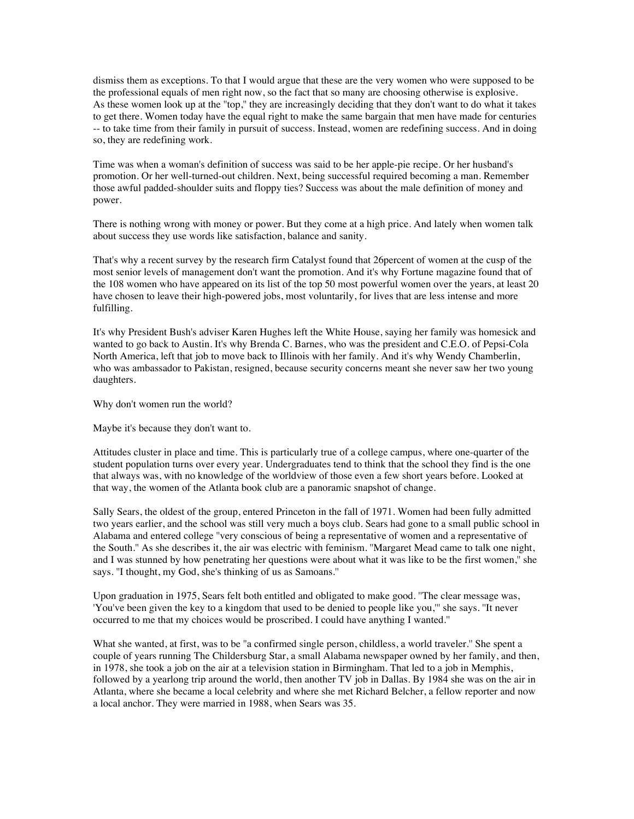dismiss them as exceptions. To that I would argue that these are the very women who were supposed to be the professional equals of men right now, so the fact that so many are choosing otherwise is explosive. As these women look up at the ''top,'' they are increasingly deciding that they don't want to do what it takes to get there. Women today have the equal right to make the same bargain that men have made for centuries -- to take time from their family in pursuit of success. Instead, women are redefining success. And in doing so, they are redefining work.

Time was when a woman's definition of success was said to be her apple-pie recipe. Or her husband's promotion. Or her well-turned-out children. Next, being successful required becoming a man. Remember those awful padded-shoulder suits and floppy ties? Success was about the male definition of money and power.

There is nothing wrong with money or power. But they come at a high price. And lately when women talk about success they use words like satisfaction, balance and sanity.

That's why a recent survey by the research firm Catalyst found that 26percent of women at the cusp of the most senior levels of management don't want the promotion. And it's why Fortune magazine found that of the 108 women who have appeared on its list of the top 50 most powerful women over the years, at least 20 have chosen to leave their high-powered jobs, most voluntarily, for lives that are less intense and more fulfilling.

It's why President Bush's adviser Karen Hughes left the White House, saying her family was homesick and wanted to go back to Austin. It's why Brenda C. Barnes, who was the president and C.E.O. of Pepsi-Cola North America, left that job to move back to Illinois with her family. And it's why Wendy Chamberlin, who was ambassador to Pakistan, resigned, because security concerns meant she never saw her two young daughters.

Why don't women run the world?

Maybe it's because they don't want to.

Attitudes cluster in place and time. This is particularly true of a college campus, where one-quarter of the student population turns over every year. Undergraduates tend to think that the school they find is the one that always was, with no knowledge of the worldview of those even a few short years before. Looked at that way, the women of the Atlanta book club are a panoramic snapshot of change.

Sally Sears, the oldest of the group, entered Princeton in the fall of 1971. Women had been fully admitted two years earlier, and the school was still very much a boys club. Sears had gone to a small public school in Alabama and entered college ''very conscious of being a representative of women and a representative of the South.'' As she describes it, the air was electric with feminism. ''Margaret Mead came to talk one night, and I was stunned by how penetrating her questions were about what it was like to be the first women,'' she says. ''I thought, my God, she's thinking of us as Samoans.''

Upon graduation in 1975, Sears felt both entitled and obligated to make good. ''The clear message was, 'You've been given the key to a kingdom that used to be denied to people like you,''' she says. ''It never occurred to me that my choices would be proscribed. I could have anything I wanted.''

What she wanted, at first, was to be "a confirmed single person, childless, a world traveler." She spent a couple of years running The Childersburg Star, a small Alabama newspaper owned by her family, and then, in 1978, she took a job on the air at a television station in Birmingham. That led to a job in Memphis, followed by a yearlong trip around the world, then another TV job in Dallas. By 1984 she was on the air in Atlanta, where she became a local celebrity and where she met Richard Belcher, a fellow reporter and now a local anchor. They were married in 1988, when Sears was 35.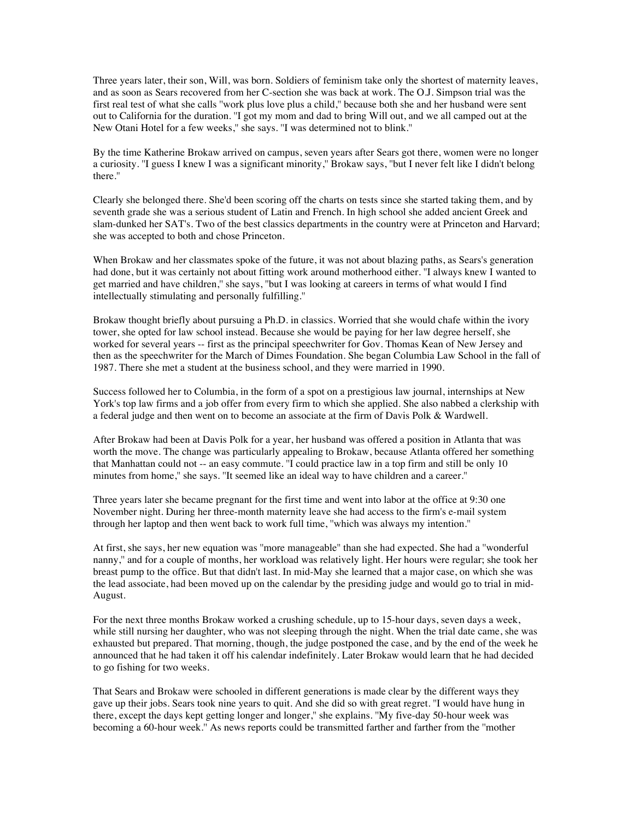Three years later, their son, Will, was born. Soldiers of feminism take only the shortest of maternity leaves, and as soon as Sears recovered from her C-section she was back at work. The O.J. Simpson trial was the first real test of what she calls ''work plus love plus a child,'' because both she and her husband were sent out to California for the duration. ''I got my mom and dad to bring Will out, and we all camped out at the New Otani Hotel for a few weeks,'' she says. ''I was determined not to blink.''

By the time Katherine Brokaw arrived on campus, seven years after Sears got there, women were no longer a curiosity. ''I guess I knew I was a significant minority,'' Brokaw says, ''but I never felt like I didn't belong there.''

Clearly she belonged there. She'd been scoring off the charts on tests since she started taking them, and by seventh grade she was a serious student of Latin and French. In high school she added ancient Greek and slam-dunked her SAT's. Two of the best classics departments in the country were at Princeton and Harvard; she was accepted to both and chose Princeton.

When Brokaw and her classmates spoke of the future, it was not about blazing paths, as Sears's generation had done, but it was certainly not about fitting work around motherhood either. ''I always knew I wanted to get married and have children,'' she says, ''but I was looking at careers in terms of what would I find intellectually stimulating and personally fulfilling.''

Brokaw thought briefly about pursuing a Ph.D. in classics. Worried that she would chafe within the ivory tower, she opted for law school instead. Because she would be paying for her law degree herself, she worked for several years -- first as the principal speechwriter for Gov. Thomas Kean of New Jersey and then as the speechwriter for the March of Dimes Foundation. She began Columbia Law School in the fall of 1987. There she met a student at the business school, and they were married in 1990.

Success followed her to Columbia, in the form of a spot on a prestigious law journal, internships at New York's top law firms and a job offer from every firm to which she applied. She also nabbed a clerkship with a federal judge and then went on to become an associate at the firm of Davis Polk & Wardwell.

After Brokaw had been at Davis Polk for a year, her husband was offered a position in Atlanta that was worth the move. The change was particularly appealing to Brokaw, because Atlanta offered her something that Manhattan could not -- an easy commute. ''I could practice law in a top firm and still be only 10 minutes from home,'' she says. ''It seemed like an ideal way to have children and a career.''

Three years later she became pregnant for the first time and went into labor at the office at 9:30 one November night. During her three-month maternity leave she had access to the firm's e-mail system through her laptop and then went back to work full time, ''which was always my intention.''

At first, she says, her new equation was ''more manageable'' than she had expected. She had a ''wonderful nanny,'' and for a couple of months, her workload was relatively light. Her hours were regular; she took her breast pump to the office. But that didn't last. In mid-May she learned that a major case, on which she was the lead associate, had been moved up on the calendar by the presiding judge and would go to trial in mid-August.

For the next three months Brokaw worked a crushing schedule, up to 15-hour days, seven days a week, while still nursing her daughter, who was not sleeping through the night. When the trial date came, she was exhausted but prepared. That morning, though, the judge postponed the case, and by the end of the week he announced that he had taken it off his calendar indefinitely. Later Brokaw would learn that he had decided to go fishing for two weeks.

That Sears and Brokaw were schooled in different generations is made clear by the different ways they gave up their jobs. Sears took nine years to quit. And she did so with great regret. ''I would have hung in there, except the days kept getting longer and longer,'' she explains. ''My five-day 50-hour week was becoming a 60-hour week.'' As news reports could be transmitted farther and farther from the ''mother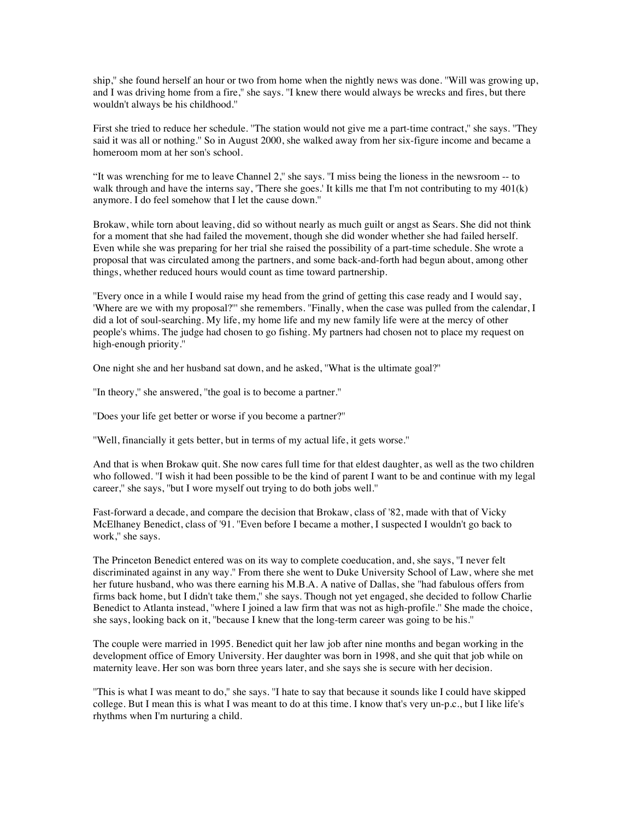ship,'' she found herself an hour or two from home when the nightly news was done. ''Will was growing up, and I was driving home from a fire,'' she says. ''I knew there would always be wrecks and fires, but there wouldn't always be his childhood.''

First she tried to reduce her schedule. ''The station would not give me a part-time contract,'' she says. ''They said it was all or nothing.'' So in August 2000, she walked away from her six-figure income and became a homeroom mom at her son's school.

"It was wrenching for me to leave Channel 2,'' she says. ''I miss being the lioness in the newsroom -- to walk through and have the interns say, 'There she goes.' It kills me that I'm not contributing to my  $401(k)$ anymore. I do feel somehow that I let the cause down.''

Brokaw, while torn about leaving, did so without nearly as much guilt or angst as Sears. She did not think for a moment that she had failed the movement, though she did wonder whether she had failed herself. Even while she was preparing for her trial she raised the possibility of a part-time schedule. She wrote a proposal that was circulated among the partners, and some back-and-forth had begun about, among other things, whether reduced hours would count as time toward partnership.

''Every once in a while I would raise my head from the grind of getting this case ready and I would say, 'Where are we with my proposal?''' she remembers. ''Finally, when the case was pulled from the calendar, I did a lot of soul-searching. My life, my home life and my new family life were at the mercy of other people's whims. The judge had chosen to go fishing. My partners had chosen not to place my request on high-enough priority.''

One night she and her husband sat down, and he asked, ''What is the ultimate goal?''

''In theory,'' she answered, ''the goal is to become a partner.''

''Does your life get better or worse if you become a partner?''

''Well, financially it gets better, but in terms of my actual life, it gets worse.''

And that is when Brokaw quit. She now cares full time for that eldest daughter, as well as the two children who followed. ''I wish it had been possible to be the kind of parent I want to be and continue with my legal career,'' she says, ''but I wore myself out trying to do both jobs well.''

Fast-forward a decade, and compare the decision that Brokaw, class of '82, made with that of Vicky McElhaney Benedict, class of '91. ''Even before I became a mother, I suspected I wouldn't go back to work,'' she says.

The Princeton Benedict entered was on its way to complete coeducation, and, she says, ''I never felt discriminated against in any way.'' From there she went to Duke University School of Law, where she met her future husband, who was there earning his M.B.A. A native of Dallas, she ''had fabulous offers from firms back home, but I didn't take them,'' she says. Though not yet engaged, she decided to follow Charlie Benedict to Atlanta instead, ''where I joined a law firm that was not as high-profile.'' She made the choice, she says, looking back on it, ''because I knew that the long-term career was going to be his.''

The couple were married in 1995. Benedict quit her law job after nine months and began working in the development office of Emory University. Her daughter was born in 1998, and she quit that job while on maternity leave. Her son was born three years later, and she says she is secure with her decision.

''This is what I was meant to do,'' she says. ''I hate to say that because it sounds like I could have skipped college. But I mean this is what I was meant to do at this time. I know that's very un-p.c., but I like life's rhythms when I'm nurturing a child.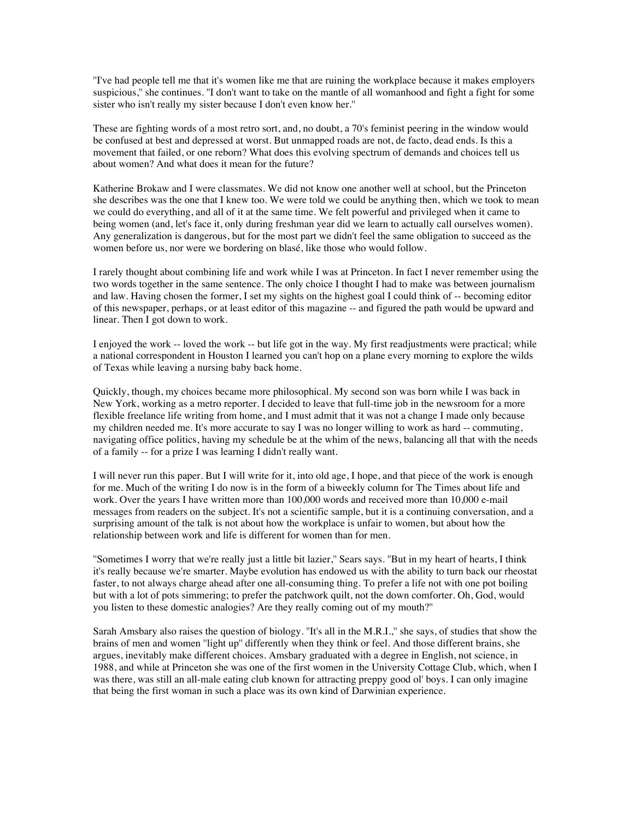''I've had people tell me that it's women like me that are ruining the workplace because it makes employers suspicious,'' she continues. ''I don't want to take on the mantle of all womanhood and fight a fight for some sister who isn't really my sister because I don't even know her.''

These are fighting words of a most retro sort, and, no doubt, a 70's feminist peering in the window would be confused at best and depressed at worst. But unmapped roads are not, de facto, dead ends. Is this a movement that failed, or one reborn? What does this evolving spectrum of demands and choices tell us about women? And what does it mean for the future?

Katherine Brokaw and I were classmates. We did not know one another well at school, but the Princeton she describes was the one that I knew too. We were told we could be anything then, which we took to mean we could do everything, and all of it at the same time. We felt powerful and privileged when it came to being women (and, let's face it, only during freshman year did we learn to actually call ourselves women). Any generalization is dangerous, but for the most part we didn't feel the same obligation to succeed as the women before us, nor were we bordering on blasé, like those who would follow.

I rarely thought about combining life and work while I was at Princeton. In fact I never remember using the two words together in the same sentence. The only choice I thought I had to make was between journalism and law. Having chosen the former, I set my sights on the highest goal I could think of -- becoming editor of this newspaper, perhaps, or at least editor of this magazine -- and figured the path would be upward and linear. Then I got down to work.

I enjoyed the work -- loved the work -- but life got in the way. My first readjustments were practical; while a national correspondent in Houston I learned you can't hop on a plane every morning to explore the wilds of Texas while leaving a nursing baby back home.

Quickly, though, my choices became more philosophical. My second son was born while I was back in New York, working as a metro reporter. I decided to leave that full-time job in the newsroom for a more flexible freelance life writing from home, and I must admit that it was not a change I made only because my children needed me. It's more accurate to say I was no longer willing to work as hard -- commuting, navigating office politics, having my schedule be at the whim of the news, balancing all that with the needs of a family -- for a prize I was learning I didn't really want.

I will never run this paper. But I will write for it, into old age, I hope, and that piece of the work is enough for me. Much of the writing I do now is in the form of a biweekly column for The Times about life and work. Over the years I have written more than 100,000 words and received more than 10,000 e-mail messages from readers on the subject. It's not a scientific sample, but it is a continuing conversation, and a surprising amount of the talk is not about how the workplace is unfair to women, but about how the relationship between work and life is different for women than for men.

''Sometimes I worry that we're really just a little bit lazier,'' Sears says. ''But in my heart of hearts, I think it's really because we're smarter. Maybe evolution has endowed us with the ability to turn back our rheostat faster, to not always charge ahead after one all-consuming thing. To prefer a life not with one pot boiling but with a lot of pots simmering; to prefer the patchwork quilt, not the down comforter. Oh, God, would you listen to these domestic analogies? Are they really coming out of my mouth?''

Sarah Amsbary also raises the question of biology. ''It's all in the M.R.I.,'' she says, of studies that show the brains of men and women ''light up'' differently when they think or feel. And those different brains, she argues, inevitably make different choices. Amsbary graduated with a degree in English, not science, in 1988, and while at Princeton she was one of the first women in the University Cottage Club, which, when I was there, was still an all-male eating club known for attracting preppy good ol' boys. I can only imagine that being the first woman in such a place was its own kind of Darwinian experience.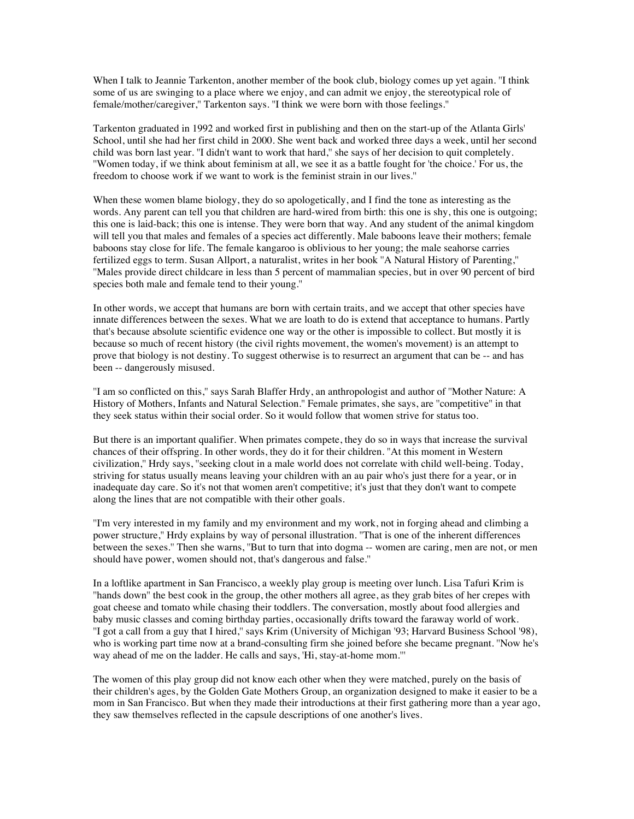When I talk to Jeannie Tarkenton, another member of the book club, biology comes up yet again. ''I think some of us are swinging to a place where we enjoy, and can admit we enjoy, the stereotypical role of female/mother/caregiver,'' Tarkenton says. ''I think we were born with those feelings.''

Tarkenton graduated in 1992 and worked first in publishing and then on the start-up of the Atlanta Girls' School, until she had her first child in 2000. She went back and worked three days a week, until her second child was born last year. ''I didn't want to work that hard,'' she says of her decision to quit completely. ''Women today, if we think about feminism at all, we see it as a battle fought for 'the choice.' For us, the freedom to choose work if we want to work is the feminist strain in our lives.''

When these women blame biology, they do so apologetically, and I find the tone as interesting as the words. Any parent can tell you that children are hard-wired from birth: this one is shy, this one is outgoing; this one is laid-back; this one is intense. They were born that way. And any student of the animal kingdom will tell you that males and females of a species act differently. Male baboons leave their mothers; female baboons stay close for life. The female kangaroo is oblivious to her young; the male seahorse carries fertilized eggs to term. Susan Allport, a naturalist, writes in her book ''A Natural History of Parenting,'' ''Males provide direct childcare in less than 5 percent of mammalian species, but in over 90 percent of bird species both male and female tend to their young.''

In other words, we accept that humans are born with certain traits, and we accept that other species have innate differences between the sexes. What we are loath to do is extend that acceptance to humans. Partly that's because absolute scientific evidence one way or the other is impossible to collect. But mostly it is because so much of recent history (the civil rights movement, the women's movement) is an attempt to prove that biology is not destiny. To suggest otherwise is to resurrect an argument that can be -- and has been -- dangerously misused.

''I am so conflicted on this,'' says Sarah Blaffer Hrdy, an anthropologist and author of ''Mother Nature: A History of Mothers, Infants and Natural Selection.'' Female primates, she says, are ''competitive'' in that they seek status within their social order. So it would follow that women strive for status too.

But there is an important qualifier. When primates compete, they do so in ways that increase the survival chances of their offspring. In other words, they do it for their children. ''At this moment in Western civilization,'' Hrdy says, ''seeking clout in a male world does not correlate with child well-being. Today, striving for status usually means leaving your children with an au pair who's just there for a year, or in inadequate day care. So it's not that women aren't competitive; it's just that they don't want to compete along the lines that are not compatible with their other goals.

''I'm very interested in my family and my environment and my work, not in forging ahead and climbing a power structure,'' Hrdy explains by way of personal illustration. ''That is one of the inherent differences between the sexes.'' Then she warns, ''But to turn that into dogma -- women are caring, men are not, or men should have power, women should not, that's dangerous and false.''

In a loftlike apartment in San Francisco, a weekly play group is meeting over lunch. Lisa Tafuri Krim is ''hands down'' the best cook in the group, the other mothers all agree, as they grab bites of her crepes with goat cheese and tomato while chasing their toddlers. The conversation, mostly about food allergies and baby music classes and coming birthday parties, occasionally drifts toward the faraway world of work. ''I got a call from a guy that I hired,'' says Krim (University of Michigan '93; Harvard Business School '98), who is working part time now at a brand-consulting firm she joined before she became pregnant. ''Now he's way ahead of me on the ladder. He calls and says, 'Hi, stay-at-home mom.'''

The women of this play group did not know each other when they were matched, purely on the basis of their children's ages, by the Golden Gate Mothers Group, an organization designed to make it easier to be a mom in San Francisco. But when they made their introductions at their first gathering more than a year ago, they saw themselves reflected in the capsule descriptions of one another's lives.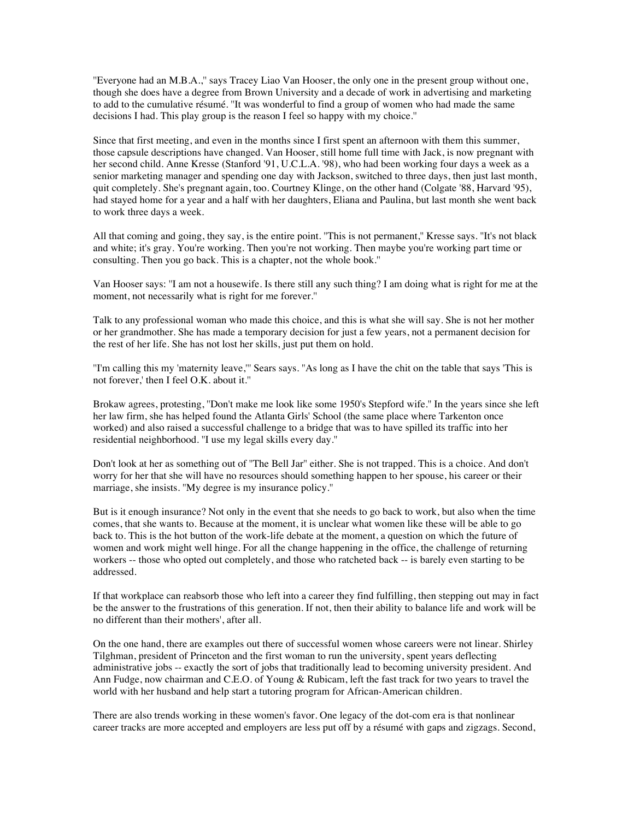''Everyone had an M.B.A.,'' says Tracey Liao Van Hooser, the only one in the present group without one, though she does have a degree from Brown University and a decade of work in advertising and marketing to add to the cumulative résumé. ''It was wonderful to find a group of women who had made the same decisions I had. This play group is the reason I feel so happy with my choice.''

Since that first meeting, and even in the months since I first spent an afternoon with them this summer, those capsule descriptions have changed. Van Hooser, still home full time with Jack, is now pregnant with her second child. Anne Kresse (Stanford '91, U.C.L.A. '98), who had been working four days a week as a senior marketing manager and spending one day with Jackson, switched to three days, then just last month, quit completely. She's pregnant again, too. Courtney Klinge, on the other hand (Colgate '88, Harvard '95), had stayed home for a year and a half with her daughters, Eliana and Paulina, but last month she went back to work three days a week.

All that coming and going, they say, is the entire point. ''This is not permanent,'' Kresse says. ''It's not black and white; it's gray. You're working. Then you're not working. Then maybe you're working part time or consulting. Then you go back. This is a chapter, not the whole book.''

Van Hooser says: ''I am not a housewife. Is there still any such thing? I am doing what is right for me at the moment, not necessarily what is right for me forever.''

Talk to any professional woman who made this choice, and this is what she will say. She is not her mother or her grandmother. She has made a temporary decision for just a few years, not a permanent decision for the rest of her life. She has not lost her skills, just put them on hold.

''I'm calling this my 'maternity leave,''' Sears says. ''As long as I have the chit on the table that says 'This is not forever,' then I feel O.K. about it.''

Brokaw agrees, protesting, ''Don't make me look like some 1950's Stepford wife.'' In the years since she left her law firm, she has helped found the Atlanta Girls' School (the same place where Tarkenton once worked) and also raised a successful challenge to a bridge that was to have spilled its traffic into her residential neighborhood. ''I use my legal skills every day.''

Don't look at her as something out of ''The Bell Jar'' either. She is not trapped. This is a choice. And don't worry for her that she will have no resources should something happen to her spouse, his career or their marriage, she insists. ''My degree is my insurance policy.''

But is it enough insurance? Not only in the event that she needs to go back to work, but also when the time comes, that she wants to. Because at the moment, it is unclear what women like these will be able to go back to. This is the hot button of the work-life debate at the moment, a question on which the future of women and work might well hinge. For all the change happening in the office, the challenge of returning workers -- those who opted out completely, and those who ratcheted back -- is barely even starting to be addressed.

If that workplace can reabsorb those who left into a career they find fulfilling, then stepping out may in fact be the answer to the frustrations of this generation. If not, then their ability to balance life and work will be no different than their mothers', after all.

On the one hand, there are examples out there of successful women whose careers were not linear. Shirley Tilghman, president of Princeton and the first woman to run the university, spent years deflecting administrative jobs -- exactly the sort of jobs that traditionally lead to becoming university president. And Ann Fudge, now chairman and C.E.O. of Young & Rubicam, left the fast track for two years to travel the world with her husband and help start a tutoring program for African-American children.

There are also trends working in these women's favor. One legacy of the dot-com era is that nonlinear career tracks are more accepted and employers are less put off by a résumé with gaps and zigzags. Second,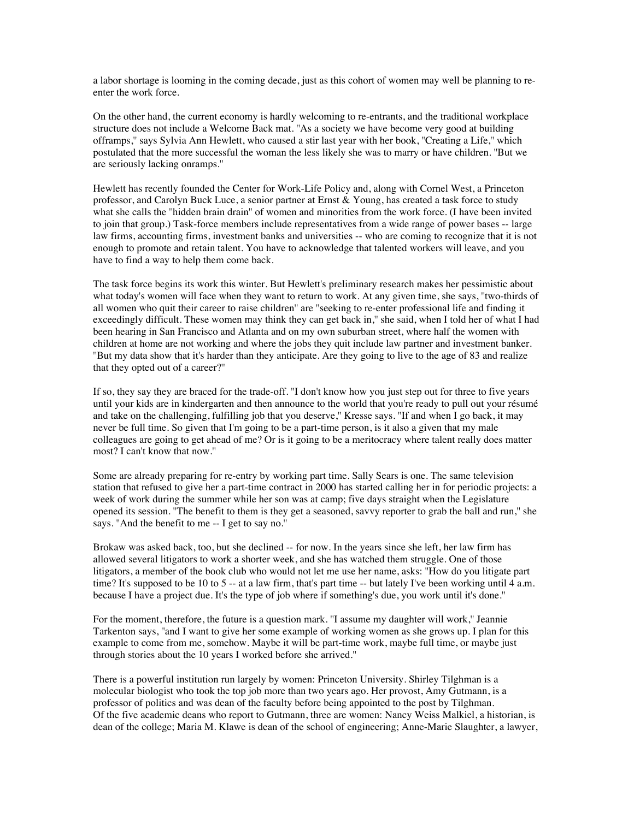a labor shortage is looming in the coming decade, just as this cohort of women may well be planning to reenter the work force.

On the other hand, the current economy is hardly welcoming to re-entrants, and the traditional workplace structure does not include a Welcome Back mat. ''As a society we have become very good at building offramps,'' says Sylvia Ann Hewlett, who caused a stir last year with her book, ''Creating a Life,'' which postulated that the more successful the woman the less likely she was to marry or have children. ''But we are seriously lacking onramps.''

Hewlett has recently founded the Center for Work-Life Policy and, along with Cornel West, a Princeton professor, and Carolyn Buck Luce, a senior partner at Ernst  $&$  Young, has created a task force to study what she calls the ''hidden brain drain'' of women and minorities from the work force. (I have been invited to join that group.) Task-force members include representatives from a wide range of power bases -- large law firms, accounting firms, investment banks and universities -- who are coming to recognize that it is not enough to promote and retain talent. You have to acknowledge that talented workers will leave, and you have to find a way to help them come back.

The task force begins its work this winter. But Hewlett's preliminary research makes her pessimistic about what today's women will face when they want to return to work. At any given time, she says, ''two-thirds of all women who quit their career to raise children'' are ''seeking to re-enter professional life and finding it exceedingly difficult. These women may think they can get back in,'' she said, when I told her of what I had been hearing in San Francisco and Atlanta and on my own suburban street, where half the women with children at home are not working and where the jobs they quit include law partner and investment banker. ''But my data show that it's harder than they anticipate. Are they going to live to the age of 83 and realize that they opted out of a career?''

If so, they say they are braced for the trade-off. ''I don't know how you just step out for three to five years until your kids are in kindergarten and then announce to the world that you're ready to pull out your résumé and take on the challenging, fulfilling job that you deserve,'' Kresse says. ''If and when I go back, it may never be full time. So given that I'm going to be a part-time person, is it also a given that my male colleagues are going to get ahead of me? Or is it going to be a meritocracy where talent really does matter most? I can't know that now.''

Some are already preparing for re-entry by working part time. Sally Sears is one. The same television station that refused to give her a part-time contract in 2000 has started calling her in for periodic projects: a week of work during the summer while her son was at camp; five days straight when the Legislature opened its session. ''The benefit to them is they get a seasoned, savvy reporter to grab the ball and run,'' she says. ''And the benefit to me -- I get to say no.''

Brokaw was asked back, too, but she declined -- for now. In the years since she left, her law firm has allowed several litigators to work a shorter week, and she has watched them struggle. One of those litigators, a member of the book club who would not let me use her name, asks: ''How do you litigate part time? It's supposed to be 10 to 5 -- at a law firm, that's part time -- but lately I've been working until 4 a.m. because I have a project due. It's the type of job where if something's due, you work until it's done.''

For the moment, therefore, the future is a question mark. ''I assume my daughter will work,'' Jeannie Tarkenton says, ''and I want to give her some example of working women as she grows up. I plan for this example to come from me, somehow. Maybe it will be part-time work, maybe full time, or maybe just through stories about the 10 years I worked before she arrived.''

There is a powerful institution run largely by women: Princeton University. Shirley Tilghman is a molecular biologist who took the top job more than two years ago. Her provost, Amy Gutmann, is a professor of politics and was dean of the faculty before being appointed to the post by Tilghman. Of the five academic deans who report to Gutmann, three are women: Nancy Weiss Malkiel, a historian, is dean of the college; Maria M. Klawe is dean of the school of engineering; Anne-Marie Slaughter, a lawyer,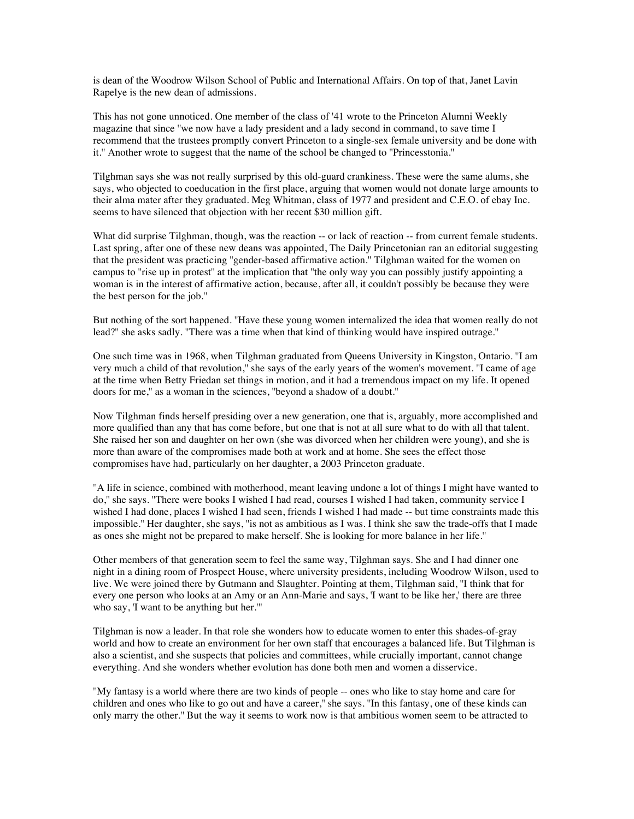is dean of the Woodrow Wilson School of Public and International Affairs. On top of that, Janet Lavin Rapelye is the new dean of admissions.

This has not gone unnoticed. One member of the class of '41 wrote to the Princeton Alumni Weekly magazine that since ''we now have a lady president and a lady second in command, to save time I recommend that the trustees promptly convert Princeton to a single-sex female university and be done with it.'' Another wrote to suggest that the name of the school be changed to ''Princesstonia.''

Tilghman says she was not really surprised by this old-guard crankiness. These were the same alums, she says, who objected to coeducation in the first place, arguing that women would not donate large amounts to their alma mater after they graduated. Meg Whitman, class of 1977 and president and C.E.O. of ebay Inc. seems to have silenced that objection with her recent \$30 million gift.

What did surprise Tilghman, though, was the reaction -- or lack of reaction -- from current female students. Last spring, after one of these new deans was appointed, The Daily Princetonian ran an editorial suggesting that the president was practicing ''gender-based affirmative action.'' Tilghman waited for the women on campus to ''rise up in protest'' at the implication that ''the only way you can possibly justify appointing a woman is in the interest of affirmative action, because, after all, it couldn't possibly be because they were the best person for the job.''

But nothing of the sort happened. ''Have these young women internalized the idea that women really do not lead?'' she asks sadly. ''There was a time when that kind of thinking would have inspired outrage.''

One such time was in 1968, when Tilghman graduated from Queens University in Kingston, Ontario. ''I am very much a child of that revolution,'' she says of the early years of the women's movement. ''I came of age at the time when Betty Friedan set things in motion, and it had a tremendous impact on my life. It opened doors for me,'' as a woman in the sciences, ''beyond a shadow of a doubt.''

Now Tilghman finds herself presiding over a new generation, one that is, arguably, more accomplished and more qualified than any that has come before, but one that is not at all sure what to do with all that talent. She raised her son and daughter on her own (she was divorced when her children were young), and she is more than aware of the compromises made both at work and at home. She sees the effect those compromises have had, particularly on her daughter, a 2003 Princeton graduate.

''A life in science, combined with motherhood, meant leaving undone a lot of things I might have wanted to do,'' she says. ''There were books I wished I had read, courses I wished I had taken, community service I wished I had done, places I wished I had seen, friends I wished I had made -- but time constraints made this impossible.'' Her daughter, she says, ''is not as ambitious as I was. I think she saw the trade-offs that I made as ones she might not be prepared to make herself. She is looking for more balance in her life.''

Other members of that generation seem to feel the same way, Tilghman says. She and I had dinner one night in a dining room of Prospect House, where university presidents, including Woodrow Wilson, used to live. We were joined there by Gutmann and Slaughter. Pointing at them, Tilghman said, ''I think that for every one person who looks at an Amy or an Ann-Marie and says, 'I want to be like her,' there are three who say, 'I want to be anything but her.'''

Tilghman is now a leader. In that role she wonders how to educate women to enter this shades-of-gray world and how to create an environment for her own staff that encourages a balanced life. But Tilghman is also a scientist, and she suspects that policies and committees, while crucially important, cannot change everything. And she wonders whether evolution has done both men and women a disservice.

''My fantasy is a world where there are two kinds of people -- ones who like to stay home and care for children and ones who like to go out and have a career,'' she says. ''In this fantasy, one of these kinds can only marry the other.'' But the way it seems to work now is that ambitious women seem to be attracted to